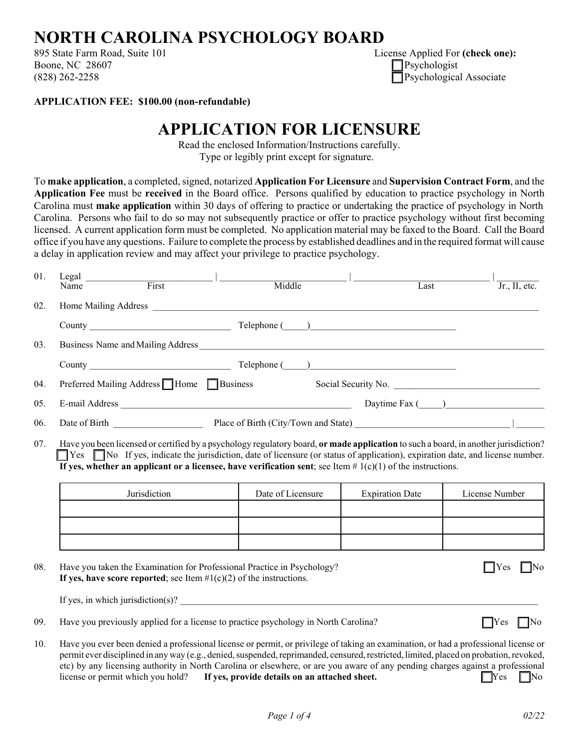## **NORTH CAROLINA PSYCHOLOGY BOARD**

895 State Farm Road, Suite 101 Boone, NC 28607  $(828) 262 - 2258$ 

| License Applied For (check one): |
|----------------------------------|
| $\Box$ Psychologist              |
| $\Box$ Psychological Associate   |

**APPLICATION FEE: \$100.00 (non-refundable)**

## **APPLICATION FOR LICENSURE**

Read the enclosed Information/Instructions carefully. Type or legibly print except for signature.

To **make application**, a completed, signed, notarized **Application For Licensure** and **Supervision Contract Form**, and the **Application Fee** must be **received** in the Board office. Persons qualified by education to practice psychology in North Carolina must **make application** within 30 days of offering to practice or undertaking the practice of psychology in North Carolina. Persons who fail to do so may not subsequently practice or offer to practice psychology without first becoming licensed. A current application form must be completed. No application material may be faxed to the Board. Call the Board office if you have any questions. Failure to complete the process by established deadlines and in the required format will cause a delay in application review and may affect your privilege to practice psychology.

| 01. | Legal $\overline{\phantom{a}}$<br>First<br>Name | Middle                               | Last                | Jr., II, etc. |
|-----|-------------------------------------------------|--------------------------------------|---------------------|---------------|
| 02. | Home Mailing Address                            |                                      |                     |               |
|     |                                                 |                                      |                     |               |
| 03. | Business Name and Mailing Address               |                                      |                     |               |
|     | County Telephone ( )                            |                                      |                     |               |
| 04. | Preferred Mailing Address Home Business         |                                      | Social Security No. |               |
| 05. | E-mail Address                                  |                                      | Daytime Fax $($     |               |
| 06. | Date of Birth <b>Exercise 2.1 Figure 1.1</b>    | Place of Birth (City/Town and State) |                     |               |

07. Have you been licensed or certified by a psychology regulatory board, **or made application** to such a board, in another jurisdiction? G Yes G No If yes, indicate the jurisdiction, date of licensure (or status of application), expiration date, and license number. **If yes, whether an applicant or a licensee, have verification sent**; see Item  $# 1(c)(1)$  of the instructions.

| Jurisdiction | Date of Licensure | <b>Expiration Date</b> | License Number |
|--------------|-------------------|------------------------|----------------|
|              |                   |                        |                |
|              |                   |                        |                |
|              |                   |                        |                |

| 08. | Have you taken the Examination for Professional Practice in Psychology?<br>If yes, have score reported; see Item $#1(c)(2)$ of the instructions. | $\Box$ Yes $\Box$ No |  |
|-----|--------------------------------------------------------------------------------------------------------------------------------------------------|----------------------|--|
|     | If yes, in which jurisdiction(s)?                                                                                                                |                      |  |

- 09. Have you previously applied for a license to practice psychology in North Carolina?  $\Box$  Yes  $\Box$  No
- 10. Have you ever been denied a professional license or permit, or privilege of taking an examination, or had a professional license or permit ever disciplined in any way (e.g., denied, suspended, reprimanded, censured, restricted, limited, placed on probation, revoked, etc) by any licensing authority in North Carolina or elsewhere, or are you aware of any pending charges against a professional license or permit which you hold? **If yes, provide details on an attached sheet.**  $\Box$  **So**  $\Box$  **No**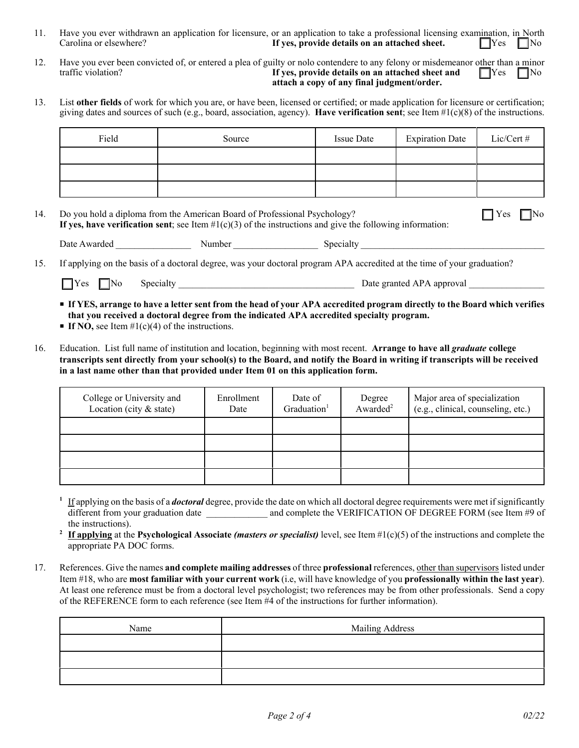- 11. Have you ever withdrawn an application for licensure, or an application to take a professional licensing examination, in North Carolina or elsewhere? **If yes, provide details on an attached sheet.**  $\Box$  Yes  $\Box$  No
- 12. Have you ever been convicted of, or entered a plea of guilty or nolo contendere to any felony or misdemeanor other than a minor **If yes, provide details on an attached sheet and If yes G No If yes, provide details on an attached sheet and attach a copy of any final judgment/order.**
- 13. List **other fields** of work for which you are, or have been, licensed or certified; or made application for licensure or certification; giving dates and sources of such (e.g., board, association, agency). **Have verification sent**; see Item #1(c)(8) of the instructions.

| Field | Source | <b>Issue Date</b> | <b>Expiration Date</b> | Lic/Cert # |
|-------|--------|-------------------|------------------------|------------|
|       |        |                   |                        |            |
|       |        |                   |                        |            |
|       |        |                   |                        |            |

| 14. Do you hold a diploma from the American Board of Professional Psychology?<br>If yes, have verification sent; see Item $\#1(c)(3)$ of the instructions and give the following information: | $\Box$ Yes $\Box$ No |  |
|-----------------------------------------------------------------------------------------------------------------------------------------------------------------------------------------------|----------------------|--|
|                                                                                                                                                                                               |                      |  |

| Date<br>warder, | $\sim$<br>мı<br>ութ | יו ד<br>ла |
|-----------------|---------------------|------------|
|                 |                     |            |

15. If applying on the basis of a doctoral degree, was your doctoral program APA accredited at the time of your graduation?

| $\Box$ Yes<br>Date granted APA approval<br>INO<br>$S0$ nectal ty |
|------------------------------------------------------------------|
|------------------------------------------------------------------|

P **If YES, arrange to have a letter sent from the head of your APA accredited program directly to the Board which verifies that you received a doctoral degree from the indicated APA accredited specialty program.**

- **FIF NO, see Item**  $#1(c)(4)$  **of the instructions.**
- 16. Education. List full name of institution and location, beginning with most recent. **Arrange to have all** *graduate* **college transcripts sent directly from your school(s) to the Board, and notify the Board in writing if transcripts will be received in a last name other than that provided under Item 01 on this application form.**

| College or University and<br>Location (city $\&$ state) | Enrollment<br>Date | Date of<br>Graduation <sup>1</sup> | Degree<br>Awarded <sup>2</sup> | Major area of specialization<br>(e.g., clinical, counseling, etc.) |
|---------------------------------------------------------|--------------------|------------------------------------|--------------------------------|--------------------------------------------------------------------|
|                                                         |                    |                                    |                                |                                                                    |
|                                                         |                    |                                    |                                |                                                                    |
|                                                         |                    |                                    |                                |                                                                    |
|                                                         |                    |                                    |                                |                                                                    |

**<sup>1</sup>** If applying on the basis of a *doctoral* degree, provide the date on which all doctoral degree requirements were met if significantly different from your graduation date and complete the VERIFICATION OF DEGREE FORM (see Item #9 of the instructions).

**<sup>2</sup> If applying** at the **Psychological Associate** *(masters or specialist)* level, see Item #1(c)(5) of the instructions and complete the appropriate PA DOC forms.

17. References. Give the names **and complete mailing addresses** of three **professional** references, other than supervisors listed under Item #18, who are **most familiar with your current work** (i.e, will have knowledge of you **professionally within the last year**). At least one reference must be from a doctoral level psychologist; two references may be from other professionals. Send a copy of the REFERENCE form to each reference (see Item #4 of the instructions for further information).

| Name | <b>Mailing Address</b> |
|------|------------------------|
|      |                        |
|      |                        |
|      |                        |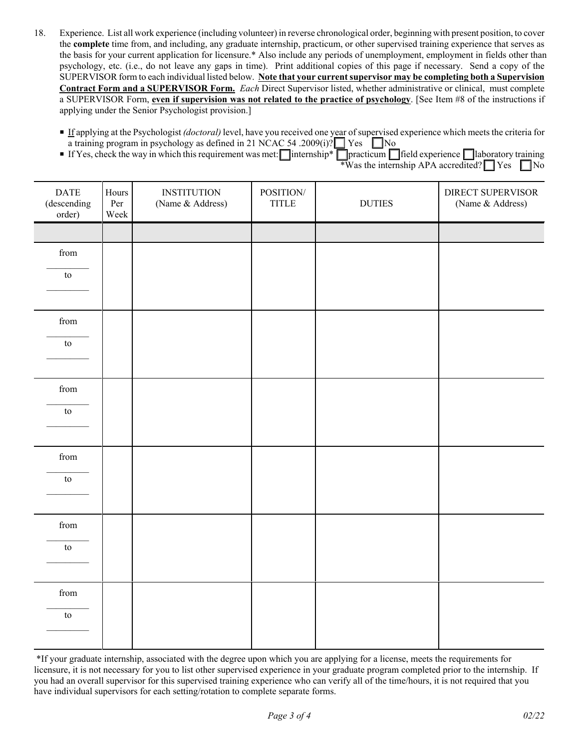- 18. Experience. List all work experience (including volunteer) in reverse chronological order, beginning with present position, to cover the **complete** time from, and including, any graduate internship, practicum, or other supervised training experience that serves as the basis for your current application for licensure.\* Also include any periods of unemployment, employment in fields other than psychology, etc. (i.e., do not leave any gaps in time). Print additional copies of this page if necessary. Send a copy of the SUPERVISOR form to each individual listed below. **Note that your current supervisor may be completing both a Supervision Contract Form and a SUPERVISOR Form.** *Each* Direct Supervisor listed, whether administrative or clinical, must complete a SUPERVISOR Form, **even if supervision was not related to the practice of psychology**. [See Item #8 of the instructions if applying under the Senior Psychologist provision.]
	- P If applying at the Psychologist *(doctoral)* level, have you received one year of supervised experience which meets the criteria for a training program in psychology as defined in 21 NCAC 54 .2009(i)?  $\Box$  Yes  $\Box$  No
	- **F** If Yes, check the way in which this requirement was met:  $\Box$  internship\*  $\Box$  practicum  $\Box$  field experience  $\Box$  laboratory training  $\overline{\text{W}}$  was the internship APA accredited?  $\Box$  Yes  $\Box$  No

| $\mathbf{DATE}$<br>(descending)<br>order) | Hours<br>Per<br>Week | <b>INSTITUTION</b><br>(Name & Address) | POSITION/<br><b>TITLE</b> | $\rm DUTIES$ | DIRECT SUPERVISOR<br>(Name & Address) |
|-------------------------------------------|----------------------|----------------------------------------|---------------------------|--------------|---------------------------------------|
|                                           |                      |                                        |                           |              |                                       |
| ${\rm from}$                              |                      |                                        |                           |              |                                       |
| to                                        |                      |                                        |                           |              |                                       |
|                                           |                      |                                        |                           |              |                                       |
| ${\rm from}$                              |                      |                                        |                           |              |                                       |
| $\mathop{\mathrm{to}}$                    |                      |                                        |                           |              |                                       |
|                                           |                      |                                        |                           |              |                                       |
| from                                      |                      |                                        |                           |              |                                       |
| ${\rm to}$                                |                      |                                        |                           |              |                                       |
|                                           |                      |                                        |                           |              |                                       |
| ${\rm from}$                              |                      |                                        |                           |              |                                       |
| $\mathop{\mathrm{to}}$                    |                      |                                        |                           |              |                                       |
|                                           |                      |                                        |                           |              |                                       |
| from                                      |                      |                                        |                           |              |                                       |
| ${\rm to}$                                |                      |                                        |                           |              |                                       |
|                                           |                      |                                        |                           |              |                                       |
| ${\rm from}$                              |                      |                                        |                           |              |                                       |
| $\mathop{\mathrm{to}}$                    |                      |                                        |                           |              |                                       |
|                                           |                      |                                        |                           |              |                                       |

 \*If your graduate internship, associated with the degree upon which you are applying for a license, meets the requirements for licensure, it is not necessary for you to list other supervised experience in your graduate program completed prior to the internship. If you had an overall supervisor for this supervised training experience who can verify all of the time/hours, it is not required that you have individual supervisors for each setting/rotation to complete separate forms.